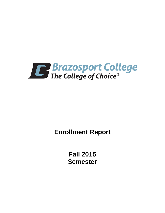

**Enrollment Report**

**Fall 2015 Semester**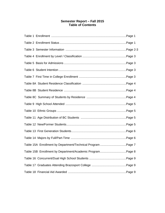# **Semester Report – Fall 2015 Table of Contents**

| Table 15A Enrollment by Department/Technical Program Page 7 |  |
|-------------------------------------------------------------|--|
| Table 15B Enrollment by Department/Academic ProgramPage 8   |  |
|                                                             |  |
|                                                             |  |
|                                                             |  |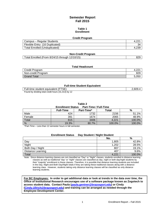# **Semester Report Fall 2015**

#### **Table 1 Enrollment**

#### **Credit Program**

| Campus – Regular Students            |    |
|--------------------------------------|----|
| Flexible Entry (16 Duplicated)       | 34 |
| <b>Total Enrolled (Unduplicated)</b> |    |

#### **Non-Credit Program**

| Total Enrolled (From 8/24/15 through 12/10/15) | 829 |
|------------------------------------------------|-----|
|------------------------------------------------|-----|

#### **Total Headcount**

| Credit Program     | 8.LL              |
|--------------------|-------------------|
| Non-credit Program | 829               |
| <b>Grand Total</b> | 5.05 <sub>0</sub> |

#### **Full-time Student Equivalent**

| Full-time student equivalent (FTSE)                 | 2,609.4 |
|-----------------------------------------------------|---------|
| Found by dividing total credit hours (31,313) by 12 |         |

**Table 2**

**Enrollment Status Part-Time / Full-Time**

|        | <b>Full-Time</b> | Part-Time* | Total  | %      |
|--------|------------------|------------|--------|--------|
| Male   | 424              | 1732       | 2156   | 51.1%  |
| Female | 391              | 1674       | 2065   | 48.9%  |
| Total  | 815              | 3406       | 4,221  | 100.0% |
| %      | 19.3%            | 80.7%      | 100.0% | 100.0% |

\*Part-Time – Less than 12 semester hours in fall semester.

|                   | <b>Enrollment Status</b> | Day Student / Night Student |       |        |
|-------------------|--------------------------|-----------------------------|-------|--------|
|                   |                          |                             | No.   | %      |
| Day               |                          |                             | 1,805 | 42.8%  |
| Night             |                          |                             | 1,202 | 28.5%  |
| Both Day / Night  |                          |                             | 807   | 19.1%  |
| Distance Learning |                          |                             | 407   | 9.6%   |
| Total             |                          |                             | 4.221 | 100.0% |

Note: Since distance learning classes are not classified as "Day" or "Night" classes, students enrolled in distance learning classes as well as traditional "day" or "night" classes are classified as day, night or both day/night students by their "majority" enrollment in these classes. Therefore, it is possible that distance learning students are included in the Day, Night and Both Day/Night totals if they are taking these traditional classes along with a distance learning class. However, students taking only distance learning classes will be classified as only distance learning students.

**For BC Employees: In order to get additional data or look at trends in the data over time, the Office of Institutional Research encourages use of a software package known as Zogotech to access student data. Contact Paula [\(paula.gentner@brazosport.edu\)](mailto:paula.gentner@brazosport.edu) or Cindy [\(Cindy.Ullrich@brazosport.edu\)](mailto:Cindy.Ullrich@brazosport.edu) and training can be arranged as needed through the Employee Development Center.**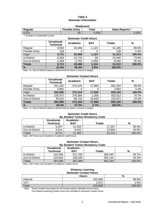### **Table 3 Semester Information**

| <b>Headcount</b>                                                    |    |       |       |  |
|---------------------------------------------------------------------|----|-------|-------|--|
| <b>Flexible Entry</b><br><b>State Reports *</b><br>Total<br>Regular |    |       |       |  |
| 4,221                                                               | 34 | 4.255 | 4,255 |  |

\* Includes 16 duplicated counts

#### **Semester Credit Hours Vocational-Technical Academic BAT Totals %** Regular 9,593 20,468 1,124 31,185 99.6% Flexible Entry  $\begin{vmatrix} 1 & 128 & 0 & 0 \\ 0 & 0 & 128 \end{vmatrix}$  0.4% Total **9,721 20,468 1,124 31,313 100.0%** In-District | 8,263 | 14,716 | 66 | 23,045 | 73.6% Out-of-District 1,458 5,752 1,058 8,268 26.4%<br> **Totals 9,721 20,468 1,124 31,313 100.0% Totals 9,721 20,468 1,124 31,313 100.0% % 31.0% 65.4% 3.6% 100.0%**

Note: In / Out-of-District status is determined by where a course is taught.

#### **Semester Contact Hours**

|                       | <b>Vocational-</b><br><b>Technical</b> | Academic | <b>BAT</b> | <b>Totals</b> | $\frac{0}{0}$ |
|-----------------------|----------------------------------------|----------|------------|---------------|---------------|
| Regular               | 261,232                                | 373,104  | 17,984     | 652,320       | 99.6%         |
| <b>Flexible Entry</b> | 2,864                                  | 0        |            | 2,864         | 0.4%          |
| Total                 | 264,096                                | 373,104  | 17,984     | 655,184       | 100.0%        |
| In-District           | 225,072                                | 276,384  | 1,056      | 502,512       | 76.7%         |
| Out-of-District       | 39,024                                 | 96,720   | 16,928     | 152,672       | 23.3%         |
| <b>Totals</b>         | 264,096                                | 373,104  | 17,984     | 655,184       | 100.0%        |
| %                     | 40.3%                                  | 57.0%    | 2.7%       | 100.0%        |               |

Note: In / Out-of-District status is determined by where a course is taught.

#### **Semester Credit Hours By Student Tuition Residency Code**

|                 | <b>Vocational-</b><br>Technical | Academic -<br>BAT | Totals | %      |
|-----------------|---------------------------------|-------------------|--------|--------|
| In-District     | 5.207                           | 12.150            | 17.357 | 55.4%  |
| Out-of-District | 4.514                           | 9.442             | 13,956 | 44.6%  |
| Totals          | 9.721                           | 21,592            | 31.313 | 100.0% |

Note: BAT hours are included in Academic credit hours.

#### **Semester Contact Hours By Student Tuition Residency Code**

|                 | <b>Vocational-</b><br>Technical | Academic -<br>BAT | Totals  | %      |
|-----------------|---------------------------------|-------------------|---------|--------|
| In-District     | 143.280                         | 221.760           | 365.040 | 55.7%  |
| Out-of-District | 120.816                         | 169.328           | 290.144 | 44.3%  |
| <b>Totals</b>   | 264.096                         | 391,088           | 655.184 | 100.0% |

Note: BAT hours are included in Academic contact hours.

#### **Distance Learning Semester Contact Hours**

|                   | <b>Hours</b> | $\frac{0}{0}$ |
|-------------------|--------------|---------------|
| Internet          | 102,848      | 99.0%         |
| $\overline{V}$ CT | 1,072        | 1.0%          |
| Total             | 103,920      | 100.0%        |

Note: These contact hour totals do not include hybrid / blended course hours.

The distance learning contact hours are included in semester contact hours.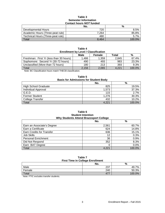#### **Table 3 Semester Information Contact hours** *NOT* **funded**

|                                   | No.   | %      |
|-----------------------------------|-------|--------|
| Developmental Hours               | 720   | 8.5%   |
| Academic Hours (Three-peat rule)  | 7.264 | 85.8%  |
| Technical Hours (Three-peat rule) | 480   | 5.7%   |
| Total                             | 8.464 | 100.0% |

| Table 4                                     |
|---------------------------------------------|
| <b>Enrollment by Level / Classification</b> |

|                                                                    | Male     | Female | Total | %      |
|--------------------------------------------------------------------|----------|--------|-------|--------|
| Freshman: First Yr (less than 30 hours)                            | 1.486    | 1.359  | 2.845 | 67.4%  |
| Sophomore: Second Yr (30-72 hours)                                 | 490      | 493    | 983   | 23.3%  |
| Unclassified (More than 72 hours)                                  | 180      | 213    | 393   | 9.3%   |
| Total                                                              | 2.156    | 2.065  | 4.221 | 100.0% |
| $\cdots$<br>$\sim$ $\sim$ $\sim$<br>$\cdots$<br>$-1 - 0$<br>$\sim$ | $\cdots$ |        |       |        |

Note: BC Classification hours match THECB classification.

| <b>Basis for Admissions for Student Body</b> |       |        |  |
|----------------------------------------------|-------|--------|--|
|                                              | No.   | %      |  |
| <b>High School Graduate</b>                  | 825   | 19.5%  |  |
| Individual Approval                          | 1,573 | 37.3%  |  |
| G.E.D.                                       | 115   | 2.7%   |  |
| <b>Former Student</b>                        | 1.276 | 30.3%  |  |
| <b>College Transfer</b>                      | 432   | 10.2%  |  |
| Total                                        | 4.221 | 100.0% |  |

# **Table 5**

#### **Table 6 Student Intention Why Students Attend Brazosport College**

|                                  | No.   | %      |
|----------------------------------|-------|--------|
| Earn an Associate's Degree       | 2,561 | 60.7%  |
| Earn a Certificate               | 624   | 14.8%  |
| <b>Earn Credits for Transfer</b> | 636   | 15.1%  |
| Job Skills                       | 12    | 0.3%   |
| <b>Personal Enrichment</b>       | 36    | 0.9%   |
| Did Not Respond                  | 352   | 8.3%   |
| Earn BAT Degree                  | C     | 0.0%   |
| Total                            | 4.221 | 100.0% |

## **Table 7 First Time in College Enrollment**

|        | . . |            |
|--------|-----|------------|
|        | No. | %          |
| Male   | 237 | 7%<br>49., |
| Female | 240 | 50.3%      |
| Total  | 477 | 100.0%     |

Note: FTIC excludes transfer students.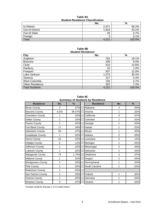| Table 8A                                |  |  |
|-----------------------------------------|--|--|
| <b>Student Residence Classification</b> |  |  |

|                    | No.   | %      |  |
|--------------------|-------|--------|--|
| <b>In-District</b> | 2,371 | 56.2%  |  |
| Out-of-District    | 1,819 | 43.1%  |  |
| Out-of-State       | 28    | 0.7%   |  |
| Foreign            | ື     | 0.1%   |  |
| Total              | 4,221 | 100.0% |  |

#### **Table 8B Student Residence**

| <b>City</b>            | No.   | $\%$   |
|------------------------|-------|--------|
| Angleton               | 762   | 18.1%  |
| <b>Brazoria</b>        | 336   | 8.0%   |
| Clute                  | 615   | 14.6%  |
| Danbury                | 43    | 1.0%   |
| Freeport               | 507   | 12.0%  |
| Lake Jackson           | 1,273 | 30.2%  |
| Sweeny                 | 227   | 5.4%   |
| West Columbia          | 156   | 3.7%   |
| <b>Other Residence</b> | 302   | 7.2%   |
| <b>Total Students</b>  | 4,221 | 100.0% |

**Table 8C Summary of Students by Residence**

| <b>Residence</b>        | No.   | $\%$   | <b>Residence</b> | No.            | %    |
|-------------------------|-------|--------|------------------|----------------|------|
| <b>Bexar County</b>     | 3     | .07%   | Alabama          | 2              | .05% |
| <b>Brazoria County</b>  | 4,034 | 95.57% | Arizona          | 1              | .02% |
| <b>Chambers County</b>  | 1     | .02%   | California       | 3              | .07% |
| Dallas County           | 1     | .02%   | Colorado         | 1              | .02% |
| <b>Fannin County</b>    | 1     | .02%   | Georgia          | 1              | .02% |
| Fort Bend County        | 17    | .40%   | Hawaii           | 1              | .02% |
| <b>Galveston County</b> | 20    | .47%   | Illinois         | 1              | .02% |
| <b>Guadalupe County</b> | 1     | .02%   | Indiana          | $\overline{2}$ | .05% |
| <b>Harris County</b>    | 22    | .52%   | Louisiana        | 5              | .12% |
| <b>Hidalgo County</b>   | 5     | .12%   | Michigan         | 1              | .02% |
| Jefferson County        | 1     | .02%   | Mississippi      | $\overline{2}$ | .05% |
| <b>Lubbock County</b>   | 1     | .02%   | Nebraska         | 1              | .02% |
| Matagorda County        | 74    | 1.75%  | Oklahoma         | 3              | .07% |
| <b>Midland County</b>   | 1     | .02%   | Oregon           | $\overline{2}$ | .05% |
| Montgomery County       | 1     | .02%   | Pennsylvania     | 1              | .02% |
| Polk County             | 1     | .02%   | South Carolina   | 1              | .02% |
| Robertson County        | 1     | .02%   |                  |                |      |
| San Patricio County     | 1     | .02%   | Finland          | 1              | .02% |
| Victoria County         | 1     | .02%   | Germany          | 1              | .02% |
| <b>Wharton County</b>   | 3     | .07%   | Ukraine          |                | .02% |

Includes students that pay C & D coded tuition.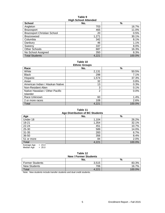#### **Table 9 High School Attended**

| <b>School</b>                      | $11911$ vollocl $R$ ttollaca<br>No. | %      |
|------------------------------------|-------------------------------------|--------|
| Angleton                           | 703                                 | 16.7%  |
| <b>Brazosport</b>                  | 465                                 | 11.0%  |
| <b>Brazosport Christian School</b> | 20                                  | 0.5%   |
| Brazoswood                         | 1,271                               | 30.1%  |
| Columbia                           | 342                                 | 8.1%   |
| Danbury                            | 46                                  | 1.1%   |
| Sweeny                             | 337                                 | 8.0%   |
| Other Schools                      | 687                                 | 16.3%  |
| No School Assigned                 | 350                                 | 8.3%   |
| <b>Total Students</b>              | 4,221                               | 100.0% |

#### **Table 10 Ethnic Groups**

| Lunno Oroups                     |                |        |  |
|----------------------------------|----------------|--------|--|
| Race                             | No.            | %      |  |
| White                            | 2,131          | 50.5%  |  |
| <b>Black</b>                     | 298            | 7.1%   |  |
| Hispanic                         | 1,574          | 37.3%  |  |
| Asian                            | 32             | 0.8%   |  |
| American Indian / Alaskan Native | 13             | 0.3%   |  |
| Non-Resident Alien               | 3              | 0.1%   |  |
| Native Hawaiian / Other Pacific  | $\overline{2}$ | 0.0%   |  |
| <b>Islander</b>                  |                |        |  |
| Race Unknown                     | 60             | 1.4%   |  |
| 2 or more races                  | 108            | 2.6%   |  |
| Total                            | 4,221          | 100.0% |  |

# **Table 11**

| Age Distribution of BC Students |       |        |  |  |  |  |
|---------------------------------|-------|--------|--|--|--|--|
| Age                             | No.   | %      |  |  |  |  |
| Under 18                        | 1,104 | 26.2%  |  |  |  |  |
| 18-21                           | 1,354 | 32.1%  |  |  |  |  |
| 22-24                           | 451   | 10.7%  |  |  |  |  |
| 25-30                           | 589   | 14.0%  |  |  |  |  |
| 31-35                           | 283   | 6.7%   |  |  |  |  |
| 36-50                           | 356   | 8.4%   |  |  |  |  |
| 51 or more                      | 84    | 2.0%   |  |  |  |  |
| Total                           | 4,221 | 100.0% |  |  |  |  |
| $= 23.4$<br>Average Age         |       |        |  |  |  |  |

Median Age = 20.0

# **Table 12**

| <b>New / Former Students</b> |       |        |  |  |  |
|------------------------------|-------|--------|--|--|--|
|                              | No.   | %      |  |  |  |
| <b>Former Students</b>       | 3.515 | 83.3%  |  |  |  |
| <b>New Students</b>          | 706   | 16.7%  |  |  |  |
| Total                        | .22'  | 100.0% |  |  |  |

Note: New students include transfer students and dual credit students.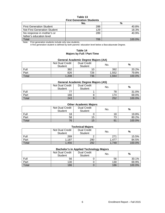#### **Table 13 First Generation Students**

|                                 | No. | %      |
|---------------------------------|-----|--------|
| <b>First Generation Student</b> | 288 | 40.8%  |
| Not First Generation Student    | 129 | 18.3%  |
| No response in mother's or      | 289 | 40.9%  |
| father's education level        |     |        |
| Total                           | 706 | 100.0% |

Note: First generation students include only new students.

A first generation student is defined by both parents' education level below a Baccalaureate Degree.

#### **Table 14 Majors by Full / Part-Time**

#### **General Academic Degree Majors (AA)**

|       | Not Dual Credit<br>Student | <b>Dual Credit</b><br><b>Student</b> | No.   | %      |
|-------|----------------------------|--------------------------------------|-------|--------|
| Full  | 382                        |                                      | 392   | 20.2%  |
| Part  | 826                        | 726                                  | 1.552 | 79.8%  |
| Total | 1,208                      | 736                                  | 1.944 | 100.0% |

#### **General Academic Degree Majors (AS)**

|       | Not Dual Credit<br>Student | <b>Dual Credit</b><br>Student | No. | %      |
|-------|----------------------------|-------------------------------|-----|--------|
| Full  |                            |                               | 78  | 31.0%  |
| Part  | 166                        |                               | 174 | 69.0%  |
| Total | 243                        | 9                             | 252 | 100.0% |

# **Other Academic Majors**

|       | Not Dual Credit<br><b>Student</b> | <b>Dual Credit</b><br>Student | No. | %      |
|-------|-----------------------------------|-------------------------------|-----|--------|
| Full  | 18                                |                               | 18  | 19.8%  |
| Part  | 58                                | 15                            | 70  | 80.2%  |
| Total | 76                                | 15                            | 91  | 100.0% |

#### **Technical Majors**

|       | Not Dual Credit<br>Student | <b>Dual Credit</b><br><b>Student</b> | No.   | %      |  |
|-------|----------------------------|--------------------------------------|-------|--------|--|
| Full  | 269                        |                                      | 271   | 15.5%  |  |
| Part  | 1,187                      | 290                                  | 1.477 | 84.5%  |  |
| Total | 1.456                      | 292                                  | 1.748 | 100.0% |  |

#### **Bachelor's in Applied Technology Majors**

|       | Not Dual Credit<br><b>Student</b> | <b>Dual Credit</b><br>Student | --<br>No. | %      |
|-------|-----------------------------------|-------------------------------|-----------|--------|
| Full  | 56                                |                               | 56        | 30.1%  |
| Part  | 130                               |                               | 130       | 69.9%  |
| Total | 186                               |                               | 186       | 100.0% |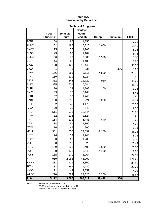#### **Table 15A Enrollment by Department**

|              |                 |                 | <b>Technical Programs</b> |        |           |             |
|--------------|-----------------|-----------------|---------------------------|--------|-----------|-------------|
|              |                 |                 | <b>Contact</b>            |        |           |             |
|              | <b>Total</b>    | <b>Semester</b> | <b>Hours</b>              |        |           |             |
|              | <b>Students</b> | <b>Hours</b>    | Lec/Lab                   | Co-op  | Practicum | <b>FTSE</b> |
| <b>ACNT</b>  | 58              | $\overline{87}$ | 1,856                     |        |           | 7.25        |
| <b>AUMT</b>  | 102             | 185             | 6,320                     | 1,600  |           | 15.42       |
| <b>BMGT</b>  | 25              | 75              | 1,200                     |        |           | 6.25        |
| <b>BUSG</b>  | 23              | 69              | 1,104                     |        |           | 5.75        |
| CDEC         | 30              | 72              | 2,880                     | 1,920  |           | 6.00        |
| <b>CETT</b>  | 44              | 66              | 1,408                     |        |           | 5.50        |
| <b>CJLE</b>  | 168             | 420             | 13,440                    |        |           | 35.00       |
| <b>CJSA</b>  | 1               | 3               | 336                       |        | 336       | 0.25        |
| <b>CNBT</b>  | 156             | 285             | 9,616                     | 4,800  |           | 23.75       |
| <b>CTEC</b>  | 150             | 239             | 5,024                     |        |           | 19.92       |
| <b>DFTG</b>  | 362             | 543             | 12,720                    | 960    |           | 45.25       |
| <b>ELPT</b>  | 325             | 501             | 10,544                    |        |           | 41.75       |
| <b>ELTN</b>  | 26              | 39              | 4,368                     | 4,160  |           | 3.25        |
| <b>EMSP</b>  | 33              | 77              | 3,168                     |        |           | 6.42        |
| <b>EPCT</b>  | 32              | 78              | 1,248                     |        |           | 6.50        |
| <b>HART</b>  | 130             | 256             | 6,224                     | 1,280  |           | 21.33       |
| <b>HITT</b>  | 92              | 246             | 4,176                     |        |           | 20.50       |
| <b>IMED</b>  | 20              | 30              | 640                       |        |           | 2.50        |
| <b>INTC</b>  | 511             | 913             | 18,544                    |        |           | 76.08       |
| <b>ITNW</b>  | 82              | 123             | 2,624                     |        |           | 10.25       |
| <b>ITSC</b>  | 154             | 231             | 5,488                     | 640    |           | 19.25       |
| <b>ITSE</b>  | 34              | 51              | 1,360                     |        |           | 4.25        |
| <b>ITSW</b>  | 30              | 45              | 960                       |        |           | 3.75        |
| <b>MCHN</b>  | 361             | 555             | 22,032                    | 12,160 |           | 46.25       |
| <b>NDTE</b>  | 26              | 39              | 1,248                     |        |           | 3.25        |
| <b>NUCP</b>  | 30              | 60              | 1,200                     |        |           | 5.00        |
| <b>OSHT</b>  | 98              | 317             | 5,520                     |        |           | 26.42       |
| PFPB         | 189             | 300             | 8,400                     | 2,560  |           | 25.00       |
| <b>POFI</b>  | 88              | 132             | 6,848                     | 4,160  |           | 11.00       |
| <b>POFT</b>  | 158             | 270             | 6,064                     |        |           | 22.50       |
| <b>PTAC</b>  | 910             | 2,055           | 46,000                    |        |           | 171.25      |
| <b>RNSG</b>  | 231             | 426             | 18,800                    |        |           | 35.50       |
| <b>TECM</b>  | 132             | 264             | 5,280                     |        |           | 22.00       |
| <b>VNSG</b>  | 21              | 49              | 2,352                     |        |           | 4.08        |
| <b>WLDG</b>  | 290             | 584             | 24,320                    | 3,200  |           | 48.67       |
| <b>Total</b> | 5,122           | 9,685           | 263,312                   | 37,440 | 336       |             |

Note: Enrollment may be duplicated.

FTSE = fall semester hours divided by 12.

Interinstitutional hours are not included.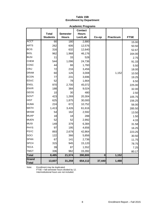## **Table 15B Enrollment by Department**

|                       |                                 |                                 | <b>Academic Programs</b>                  |                         |                  |             |
|-----------------------|---------------------------------|---------------------------------|-------------------------------------------|-------------------------|------------------|-------------|
|                       | <b>Total</b><br><b>Students</b> | <b>Semester</b><br><b>Hours</b> | <b>Contact</b><br><b>Hours</b><br>Lec/Lab | Co-op                   | <b>Practicum</b> | <b>FTSE</b> |
| <b>ACCT</b>           | 90                              | 180                             | 2,880                                     |                         |                  | 15.00       |
| <b>ARTS</b>           | 262                             | 606                             | 12,576                                    |                         |                  | 50.50       |
| <b>BCIS</b>           | 316                             | 632                             | 12,640                                    |                         |                  | 52.67       |
| <b>BIOL</b>           | 962                             | 1,968                           | 46,176                                    |                         |                  | 164.00      |
| <b>BUSI</b>           | 11                              | 33                              | 528                                       |                         |                  | 2.75        |
| <b>CHEM</b>           | 544                             | 1,096                           | 24,736                                    |                         |                  | 91.33       |
| cosc                  | 44                              | 66                              | 1,760                                     |                         |                  | 5.50        |
| <b>CRIJ</b>           | 72                              | 216                             | 3,456                                     |                         |                  | 18.00       |
| <b>DRAM</b>           | 60                              | 126                             | 3,008                                     |                         | 1,152            | 10.50       |
| <b>ECON</b>           | 77                              | 231                             | 3,696                                     |                         |                  | 19.25       |
| <b>EDUC</b>           | 52                              | 78                              | 1,664                                     |                         |                  | 6.50        |
| <b>ENGL</b>           | 970                             | 2,700                           | 45,072                                    |                         |                  | 225.00      |
| <b>ENVR</b>           | 188                             | 384                             | 9,024                                     |                         |                  | 32.00       |
| <b>GEOG</b>           | 10                              | 30                              | 480                                       |                         |                  | 2.50        |
| GOVT                  | 423                             | 1,269                           | 20,304                                    |                         |                  | 105.75      |
| <b>HIST</b>           | 625                             | 1,875                           | 30,000                                    |                         |                  | 156.25      |
| <b>HUMA</b>           | 224                             | 672                             | 10,752                                    |                         |                  | 56.00       |
| <b>MATH</b>           | 1,413                           | 3,426                           | 61,616                                    |                         |                  | 285.50      |
| <b>MHSM</b>           | 54                              | 162                             | 2,592                                     |                         |                  | 13.50       |
| <b>MUAP</b>           | 18                              | 18                              | 288                                       |                         |                  | 1.50        |
| <b>MUEN</b>           | 52                              | 52                              | 2,992                                     |                         |                  | 4.33        |
| <b>MUSI</b>           | 149                             | 379                             | 6,384                                     |                         |                  | 31.58       |
| <b>PHYS</b>           | 97                              | 195                             | 4,656                                     |                         |                  | 16.25       |
| <b>PSYC</b>           | 893                             | 2,679                           | 42,864                                    |                         |                  | 223.25      |
| SOCI                  | 122                             | 366                             | 5,856                                     |                         |                  | 30.50       |
| <b>SPAN</b>           | 67                              | 141                             | 2,736                                     |                         |                  | 11.75       |
| <b>SPCH</b>           | 315                             | 945                             | 15,120                                    |                         |                  | 78.75       |
| <b>TECA</b>           | 39                              | 87                              | 1,552                                     |                         |                  | 7.25        |
| <b>TMGT</b>           | 336                             | 962                             | 15,392                                    |                         |                  | 80.17       |
| <b>Total</b>          | 8,485                           | 21,574                          | 390,800                                   | $\overline{\mathbf{0}}$ | 1,152            |             |
| Grand<br><b>Total</b> | 13,607                          | 31,259                          | 654,112                                   | 37,440                  | 1,488            |             |

Note: Enrollment may be duplicated.

FTSE = fall semester hours divided by 12. Interinstitutional hours are not included.